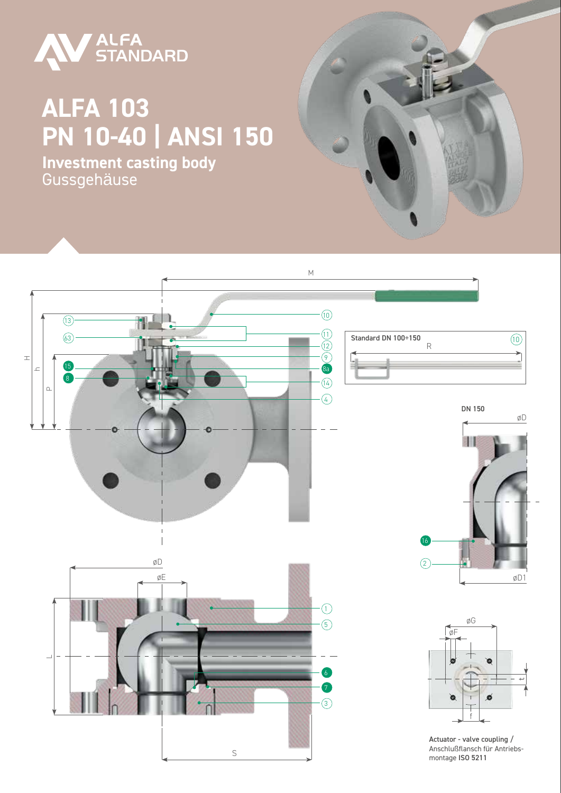

## **ALFA 103 PN 10-40 | ANSI 150**

**Investment casting body** Gussgehäuse